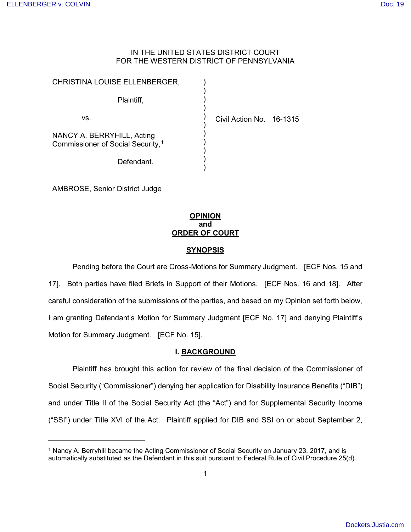.

## IN THE UNITED STATES DISTRICT COURT FOR THE WESTERN DISTRICT OF PENNSYLVANIA

) ) ) ) ) ) ) ) ) ) )

Civil Action No. 16-1315

| CHRISTINA LOUISE ELLENBERGER,                                               |  |  |
|-----------------------------------------------------------------------------|--|--|
| Plaintiff,                                                                  |  |  |
| VS.                                                                         |  |  |
| NANCY A. BERRYHILL, Acting<br>Commissioner of Social Security, <sup>1</sup> |  |  |
| Defendant.                                                                  |  |  |

AMBROSE, Senior District Judge

## **OPINION and ORDER OF COURT**

## **SYNOPSIS**

Pending before the Court are Cross-Motions for Summary Judgment. [ECF Nos. 15 and 17]. Both parties have filed Briefs in Support of their Motions. [ECF Nos. 16 and 18]. After careful consideration of the submissions of the parties, and based on my Opinion set forth below, I am granting Defendant's Motion for Summary Judgment [ECF No. 17] and denying Plaintiff's Motion for Summary Judgment. [ECF No. 15].

## **I. BACKGROUND**

Plaintiff has brought this action for review of the final decision of the Commissioner of Social Security ("Commissioner") denying her application for Disability Insurance Benefits ("DIB") and under Title II of the Social Security Act (the "Act") and for Supplemental Security Income ("SSI") under Title XVI of the Act. Plaintiff applied for DIB and SSI on or about September 2,

<span id="page-0-0"></span><sup>&</sup>lt;sup>1</sup> Nancy A. Berryhill became the Acting Commissioner of Social Security on January 23, 2017, and is automatically substituted as the Defendant in this suit pursuant to Federal Rule of Civil Procedure 25(d).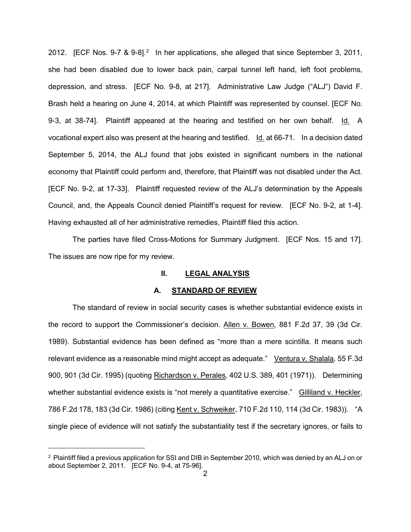[2](#page-1-0)012. [ECF Nos. 9-7 & 9-8].<sup>2</sup> In her applications, she alleged that since September 3, 2011, she had been disabled due to lower back pain, carpal tunnel left hand, left foot problems, depression, and stress. [ECF No. 9-8, at 217]. Administrative Law Judge ("ALJ") David F. Brash held a hearing on June 4, 2014, at which Plaintiff was represented by counsel. [ECF No. 9-3, at 38-74]. Plaintiff appeared at the hearing and testified on her own behalf. Id. A vocational expert also was present at the hearing and testified. Id. at 66-71. In a decision dated September 5, 2014, the ALJ found that jobs existed in significant numbers in the national economy that Plaintiff could perform and, therefore, that Plaintiff was not disabled under the Act. [ECF No. 9-2, at 17-33]. Plaintiff requested review of the ALJ's determination by the Appeals Council, and, the Appeals Council denied Plaintiff's request for review. [ECF No. 9-2, at 1-4]. Having exhausted all of her administrative remedies, Plaintiff filed this action.

The parties have filed Cross-Motions for Summary Judgment. [ECF Nos. 15 and 17]. The issues are now ripe for my review.

## **II. LEGAL ANALYSIS**

#### **A. STANDARD OF REVIEW**

The standard of review in social security cases is whether substantial evidence exists in the record to support the Commissioner's decision. Allen v. Bowen*,* 881 F.2d 37, 39 (3d Cir. 1989). Substantial evidence has been defined as "more than a mere scintilla. It means such relevant evidence as a reasonable mind might accept as adequate." Ventura v. Shalala*,* 55 F.3d 900, 901 (3d Cir. 1995) (quoting Richardson v. Perales*,* 402 U.S. 389, 401 (1971)). Determining whether substantial evidence exists is "not merely a quantitative exercise." Gilliland v. Heckler, 786 F.2d 178, 183 (3d Cir. 1986) (citing Kent v. Schweiker, 710 F.2d 110, 114 (3d Cir. 1983)). "A single piece of evidence will not satisfy the substantiality test if the secretary ignores, or fails to

 $\overline{a}$ 

<span id="page-1-0"></span><sup>2</sup> Plaintiff filed a previous application for SSI and DIB in September 2010, which was denied by an ALJ on or about September 2, 2011. [ECF No. 9-4, at 75-96].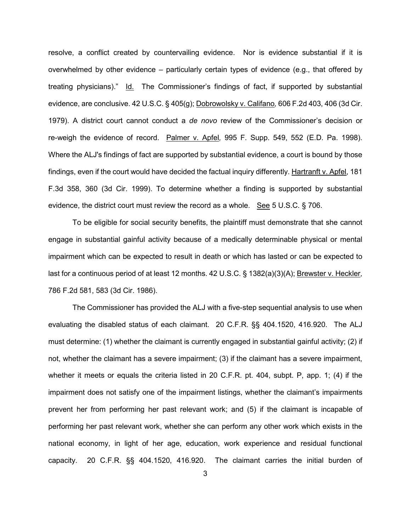resolve, a conflict created by countervailing evidence. Nor is evidence substantial if it is overwhelmed by other evidence – particularly certain types of evidence (e.g., that offered by treating physicians)." Id. The Commissioner's findings of fact, if supported by substantial evidence, are conclusive. 42 U.S.C. § 405(g); Dobrowolsky v. Califano*,* 606 F.2d 403, 406 (3d Cir. 1979). A district court cannot conduct a *de novo* review of the Commissioner's decision or re-weigh the evidence of record. Palmer v. Apfel*,* 995 F. Supp. 549, 552 (E.D. Pa. 1998). Where the ALJ's findings of fact are supported by substantial evidence, a court is bound by those findings, even if the court would have decided the factual inquiry differently. Hartranft v. Apfel, 181 F.3d 358, 360 (3d Cir. 1999). To determine whether a finding is supported by substantial evidence, the district court must review the record as a whole. See 5 U.S.C.  $\S$  706.

To be eligible for social security benefits, the plaintiff must demonstrate that she cannot engage in substantial gainful activity because of a medically determinable physical or mental impairment which can be expected to result in death or which has lasted or can be expected to last for a continuous period of at least 12 months. 42 U.S.C. § 1382(a)(3)(A); Brewster v. Heckler*,*  786 F.2d 581, 583 (3d Cir. 1986).

The Commissioner has provided the ALJ with a five-step sequential analysis to use when evaluating the disabled status of each claimant. 20 C.F.R. §§ 404.1520, 416.920. The ALJ must determine: (1) whether the claimant is currently engaged in substantial gainful activity; (2) if not, whether the claimant has a severe impairment; (3) if the claimant has a severe impairment, whether it meets or equals the criteria listed in 20 C.F.R. pt. 404, subpt. P, app. 1; (4) if the impairment does not satisfy one of the impairment listings, whether the claimant's impairments prevent her from performing her past relevant work; and (5) if the claimant is incapable of performing her past relevant work, whether she can perform any other work which exists in the national economy, in light of her age, education, work experience and residual functional capacity. 20 C.F.R. §§ 404.1520, 416.920. The claimant carries the initial burden of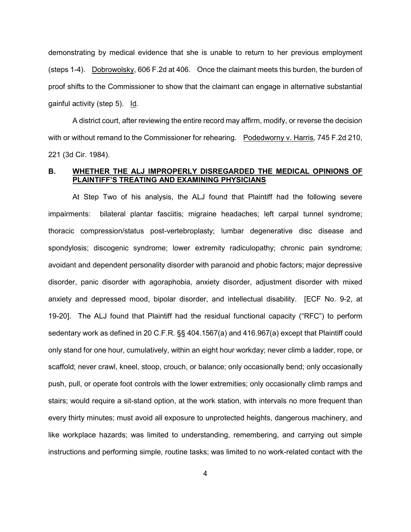demonstrating by medical evidence that she is unable to return to her previous employment (steps 1-4). Dobrowolsky, 606 F.2d at 406. Once the claimant meets this burden, the burden of proof shifts to the Commissioner to show that the claimant can engage in alternative substantial gainful activity (step 5). Id*.*

A district court, after reviewing the entire record may affirm, modify, or reverse the decision with or without remand to the Commissioner for rehearing. Podedworny v. Harris*,* 745 F.2d 210, 221 (3d Cir. 1984).

## **B. WHETHER THE ALJ IMPROPERLY DISREGARDED THE MEDICAL OPINIONS OF PLAINTIFF'S TREATING AND EXAMINING PHYSICIANS**

At Step Two of his analysis, the ALJ found that Plaintiff had the following severe impairments: bilateral plantar fasciitis; migraine headaches; left carpal tunnel syndrome; thoracic compression/status post-vertebroplasty; lumbar degenerative disc disease and spondylosis; discogenic syndrome; lower extremity radiculopathy; chronic pain syndrome; avoidant and dependent personality disorder with paranoid and phobic factors; major depressive disorder, panic disorder with agoraphobia, anxiety disorder, adjustment disorder with mixed anxiety and depressed mood, bipolar disorder, and intellectual disability. [ECF No. 9-2, at 19-20]. The ALJ found that Plaintiff had the residual functional capacity ("RFC") to perform sedentary work as defined in 20 C.F.R. §§ 404.1567(a) and 416.967(a) except that Plaintiff could only stand for one hour, cumulatively, within an eight hour workday; never climb a ladder, rope, or scaffold; never crawl, kneel, stoop, crouch, or balance; only occasionally bend; only occasionally push, pull, or operate foot controls with the lower extremities; only occasionally climb ramps and stairs; would require a sit-stand option, at the work station, with intervals no more frequent than every thirty minutes; must avoid all exposure to unprotected heights, dangerous machinery, and like workplace hazards; was limited to understanding, remembering, and carrying out simple instructions and performing simple, routine tasks; was limited to no work-related contact with the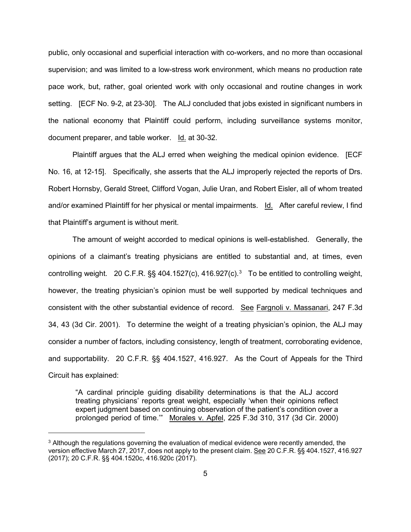public, only occasional and superficial interaction with co-workers, and no more than occasional supervision; and was limited to a low-stress work environment, which means no production rate pace work, but, rather, goal oriented work with only occasional and routine changes in work setting. [ECF No. 9-2, at 23-30]. The ALJ concluded that jobs existed in significant numbers in the national economy that Plaintiff could perform, including surveillance systems monitor, document preparer, and table worker. Id. at 30-32.

Plaintiff argues that the ALJ erred when weighing the medical opinion evidence. [ECF No. 16, at 12-15]. Specifically, she asserts that the ALJ improperly rejected the reports of Drs. Robert Hornsby, Gerald Street, Clifford Vogan, Julie Uran, and Robert Eisler, all of whom treated and/or examined Plaintiff for her physical or mental impairments. Id. After careful review, I find that Plaintiff's argument is without merit.

The amount of weight accorded to medical opinions is well-established. Generally, the opinions of a claimant's treating physicians are entitled to substantial and, at times, even controlling weight. 20 C.F.R. §§ 404.1527(c), 416.927(c).<sup>[3](#page-4-0)</sup> To be entitled to controlling weight, however, the treating physician's opinion must be well supported by medical techniques and consistent with the other substantial evidence of record. See Fargnoli v. Massanari, 247 F.3d 34, 43 (3d Cir. 2001). To determine the weight of a treating physician's opinion, the ALJ may consider a number of factors, including consistency, length of treatment, corroborating evidence, and supportability. 20 C.F.R. §§ 404.1527, 416.927. As the Court of Appeals for the Third Circuit has explained:

"A cardinal principle guiding disability determinations is that the ALJ accord treating physicians' reports great weight, especially 'when their opinions reflect expert judgment based on continuing observation of the patient's condition over a prolonged period of time.'" Morales v. Apfel, 225 F.3d 310, 317 (3d Cir. 2000)

l

<span id="page-4-0"></span><sup>&</sup>lt;sup>3</sup> Although the regulations governing the evaluation of medical evidence were recently amended, the version effective March 27, 2017, does not apply to the present claim. See [20 C.F.R. §§ 404.1527,](https://1.next.westlaw.com/Link/Document/FullText?findType=L&pubNum=1000547&cite=20CFRS416.927&originatingDoc=Ic8016140313911e7815ea6969ee18a03&refType=LQ&originationContext=document&transitionType=DocumentItem&contextData=(sc.Search)) 416.927 [\(2017\);](https://1.next.westlaw.com/Link/Document/FullText?findType=L&pubNum=1000547&cite=20CFRS416.927&originatingDoc=Ic8016140313911e7815ea6969ee18a03&refType=LQ&originationContext=document&transitionType=DocumentItem&contextData=(sc.Search)) [20 C.F.R. §§ 404.1520c,](https://1.next.westlaw.com/Link/Document/FullText?findType=L&pubNum=1000547&cite=20CFRS416.920C&originatingDoc=Ic8016140313911e7815ea6969ee18a03&refType=LQ&originationContext=document&transitionType=DocumentItem&contextData=(sc.Search)) 416.920c (2017).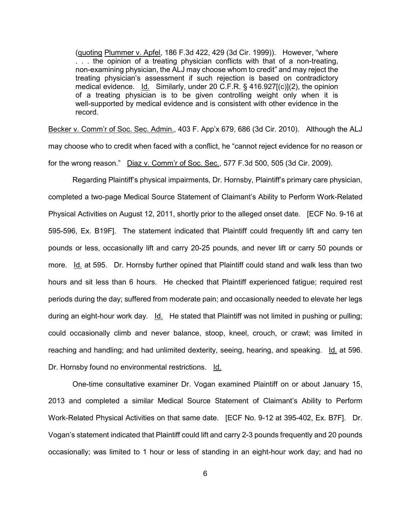(quoting Plummer v. Apfel, 186 F.3d 422, 429 (3d Cir. 1999)). However, "where . . . the opinion of a treating physician conflicts with that of a non-treating, non-examining physician, the ALJ may choose whom to credit" and may reject the treating physician's assessment if such rejection is based on contradictory medical evidence. Id. Similarly, under 20 C.F.R. § 416.927[(c)](2), the opinion of a treating physician is to be given controlling weight only when it is well-supported by medical evidence and is consistent with other evidence in the record.

Becker v. Comm'r of Soc. Sec. Admin., 403 F. App'x 679, 686 (3d Cir. 2010). Although the ALJ may choose who to credit when faced with a conflict, he "cannot reject evidence for no reason or for the wrong reason." Diaz v. Comm'r of Soc. Sec., 577 F.3d 500, 505 (3d Cir. 2009).

Regarding Plaintiff's physical impairments, Dr. Hornsby, Plaintiff's primary care physician, completed a two-page Medical Source Statement of Claimant's Ability to Perform Work-Related Physical Activities on August 12, 2011, shortly prior to the alleged onset date. [ECF No. 9-16 at 595-596, Ex. B19F]. The statement indicated that Plaintiff could frequently lift and carry ten pounds or less, occasionally lift and carry 20-25 pounds, and never lift or carry 50 pounds or more. Id. at 595. Dr. Hornsby further opined that Plaintiff could stand and walk less than two hours and sit less than 6 hours. He checked that Plaintiff experienced fatigue; required rest periods during the day; suffered from moderate pain; and occasionally needed to elevate her legs during an eight-hour work day. Id. He stated that Plaintiff was not limited in pushing or pulling; could occasionally climb and never balance, stoop, kneel, crouch, or crawl; was limited in reaching and handling; and had unlimited dexterity, seeing, hearing, and speaking. Id. at 596. Dr. Hornsby found no environmental restrictions. Id.

One-time consultative examiner Dr. Vogan examined Plaintiff on or about January 15, 2013 and completed a similar Medical Source Statement of Claimant's Ability to Perform Work-Related Physical Activities on that same date. [ECF No. 9-12 at 395-402, Ex. B7F]. Dr. Vogan's statement indicated that Plaintiff could lift and carry 2-3 pounds frequently and 20 pounds occasionally; was limited to 1 hour or less of standing in an eight-hour work day; and had no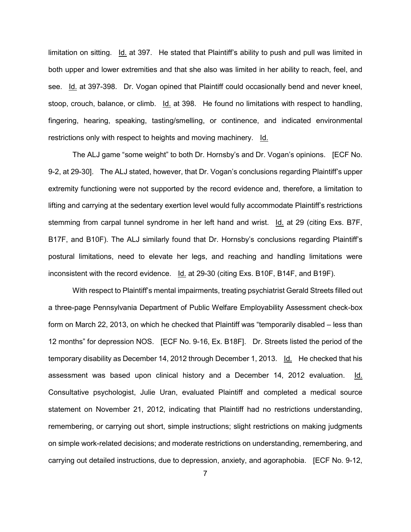limitation on sitting. Id. at 397. He stated that Plaintiff's ability to push and pull was limited in both upper and lower extremities and that she also was limited in her ability to reach, feel, and see. Id. at 397-398. Dr. Vogan opined that Plaintiff could occasionally bend and never kneel, stoop, crouch, balance, or climb. Id. at 398. He found no limitations with respect to handling, fingering, hearing, speaking, tasting/smelling, or continence, and indicated environmental restrictions only with respect to heights and moving machinery. Id.

The ALJ game "some weight" to both Dr. Hornsby's and Dr. Vogan's opinions. [ECF No. 9-2, at 29-30]. The ALJ stated, however, that Dr. Vogan's conclusions regarding Plaintiff's upper extremity functioning were not supported by the record evidence and, therefore, a limitation to lifting and carrying at the sedentary exertion level would fully accommodate Plaintiff's restrictions stemming from carpal tunnel syndrome in her left hand and wrist. Id. at 29 (citing Exs. B7F, B17F, and B10F). The ALJ similarly found that Dr. Hornsby's conclusions regarding Plaintiff's postural limitations, need to elevate her legs, and reaching and handling limitations were inconsistent with the record evidence. Id. at 29-30 (citing Exs. B10F, B14F, and B19F).

With respect to Plaintiff's mental impairments, treating psychiatrist Gerald Streets filled out a three-page Pennsylvania Department of Public Welfare Employability Assessment check-box form on March 22, 2013, on which he checked that Plaintiff was "temporarily disabled – less than 12 months" for depression NOS. [ECF No. 9-16, Ex. B18F]. Dr. Streets listed the period of the temporary disability as December 14, 2012 through December 1, 2013. Id. He checked that his assessment was based upon clinical history and a December 14, 2012 evaluation. Id. Consultative psychologist, Julie Uran, evaluated Plaintiff and completed a medical source statement on November 21, 2012, indicating that Plaintiff had no restrictions understanding, remembering, or carrying out short, simple instructions; slight restrictions on making judgments on simple work-related decisions; and moderate restrictions on understanding, remembering, and carrying out detailed instructions, due to depression, anxiety, and agoraphobia. [ECF No. 9-12,

7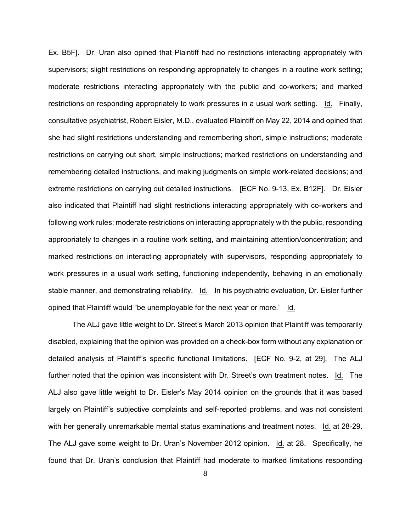Ex. B5F]. Dr. Uran also opined that Plaintiff had no restrictions interacting appropriately with supervisors; slight restrictions on responding appropriately to changes in a routine work setting; moderate restrictions interacting appropriately with the public and co-workers; and marked restrictions on responding appropriately to work pressures in a usual work setting. Id. Finally, consultative psychiatrist, Robert Eisler, M.D., evaluated Plaintiff on May 22, 2014 and opined that she had slight restrictions understanding and remembering short, simple instructions; moderate restrictions on carrying out short, simple instructions; marked restrictions on understanding and remembering detailed instructions, and making judgments on simple work-related decisions; and extreme restrictions on carrying out detailed instructions. [ECF No. 9-13, Ex. B12F]. Dr. Eisler also indicated that Plaintiff had slight restrictions interacting appropriately with co-workers and following work rules; moderate restrictions on interacting appropriately with the public, responding appropriately to changes in a routine work setting, and maintaining attention/concentration; and marked restrictions on interacting appropriately with supervisors, responding appropriately to work pressures in a usual work setting, functioning independently, behaving in an emotionally stable manner, and demonstrating reliability. Id. In his psychiatric evaluation, Dr. Eisler further opined that Plaintiff would "be unemployable for the next year or more." Id.

The ALJ gave little weight to Dr. Street's March 2013 opinion that Plaintiff was temporarily disabled, explaining that the opinion was provided on a check-box form without any explanation or detailed analysis of Plaintiff's specific functional limitations. [ECF No. 9-2, at 29]. The ALJ further noted that the opinion was inconsistent with Dr. Street's own treatment notes. Id. The ALJ also gave little weight to Dr. Eisler's May 2014 opinion on the grounds that it was based largely on Plaintiff's subjective complaints and self-reported problems, and was not consistent with her generally unremarkable mental status examinations and treatment notes. Id. at 28-29. The ALJ gave some weight to Dr. Uran's November 2012 opinion. Id. at 28. Specifically, he found that Dr. Uran's conclusion that Plaintiff had moderate to marked limitations responding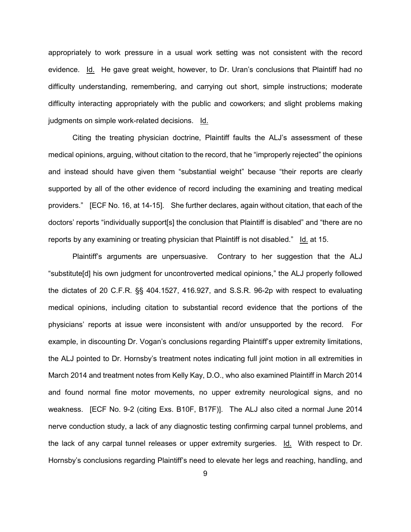appropriately to work pressure in a usual work setting was not consistent with the record evidence. Id. He gave great weight, however, to Dr. Uran's conclusions that Plaintiff had no difficulty understanding, remembering, and carrying out short, simple instructions; moderate difficulty interacting appropriately with the public and coworkers; and slight problems making judgments on simple work-related decisions. Id.

Citing the treating physician doctrine, Plaintiff faults the ALJ's assessment of these medical opinions, arguing, without citation to the record, that he "improperly rejected" the opinions and instead should have given them "substantial weight" because "their reports are clearly supported by all of the other evidence of record including the examining and treating medical providers." [ECF No. 16, at 14-15]. She further declares, again without citation, that each of the doctors' reports "individually support[s] the conclusion that Plaintiff is disabled" and "there are no reports by any examining or treating physician that Plaintiff is not disabled." Id. at 15.

Plaintiff's arguments are unpersuasive. Contrary to her suggestion that the ALJ "substitute[d] his own judgment for uncontroverted medical opinions," the ALJ properly followed the dictates of 20 C.F.R. §§ 404.1527, 416.927, and S.S.R. 96-2p with respect to evaluating medical opinions, including citation to substantial record evidence that the portions of the physicians' reports at issue were inconsistent with and/or unsupported by the record. For example, in discounting Dr. Vogan's conclusions regarding Plaintiff's upper extremity limitations, the ALJ pointed to Dr. Hornsby's treatment notes indicating full joint motion in all extremities in March 2014 and treatment notes from Kelly Kay, D.O., who also examined Plaintiff in March 2014 and found normal fine motor movements, no upper extremity neurological signs, and no weakness. [ECF No. 9-2 (citing Exs. B10F, B17F)]. The ALJ also cited a normal June 2014 nerve conduction study, a lack of any diagnostic testing confirming carpal tunnel problems, and the lack of any carpal tunnel releases or upper extremity surgeries. Id. With respect to Dr. Hornsby's conclusions regarding Plaintiff's need to elevate her legs and reaching, handling, and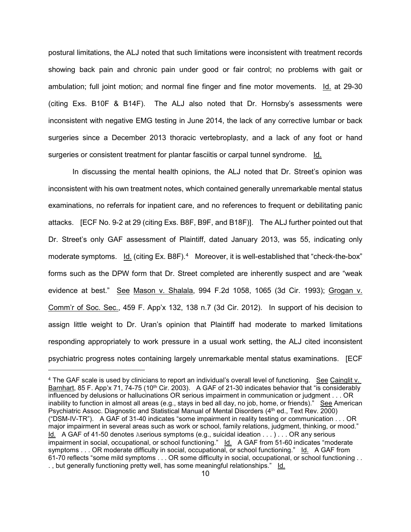postural limitations, the ALJ noted that such limitations were inconsistent with treatment records showing back pain and chronic pain under good or fair control; no problems with gait or ambulation; full joint motion; and normal fine finger and fine motor movements. Id. at 29-30 (citing Exs. B10F & B14F). The ALJ also noted that Dr. Hornsby's assessments were inconsistent with negative EMG testing in June 2014, the lack of any corrective lumbar or back surgeries since a December 2013 thoracic vertebroplasty, and a lack of any foot or hand surgeries or consistent treatment for plantar fasciitis or carpal tunnel syndrome. Id.

In discussing the mental health opinions, the ALJ noted that Dr. Street's opinion was inconsistent with his own treatment notes, which contained generally unremarkable mental status examinations, no referrals for inpatient care, and no references to frequent or debilitating panic attacks. [ECF No. 9-2 at 29 (citing Exs. B8F, B9F, and B18F)]. The ALJ further pointed out that Dr. Street's only GAF assessment of Plaintiff, dated January 2013, was 55, indicating only moderate symptoms. Id. (citing Ex. B8F).<sup>[4](#page-9-0)</sup> Moreover, it is well-established that "check-the-box" forms such as the DPW form that Dr. Street completed are inherently suspect and are "weak evidence at best." See Mason v. Shalala, 994 F.2d 1058, 1065 (3d Cir. 1993); Grogan v. Comm'r of Soc. Sec., 459 F. App'x 132, 138 n.7 (3d Cir. 2012). In support of his decision to assign little weight to Dr. Uran's opinion that Plaintiff had moderate to marked limitations responding appropriately to work pressure in a usual work setting, the ALJ cited inconsistent psychiatric progress notes containing largely unremarkable mental status examinations. [ECF

.

<span id="page-9-0"></span><sup>&</sup>lt;sup>4</sup> The GAF scale is used by clinicians to report an individual's overall level of functioning. See Cainglit v. Barnhart, 85 F. App'x 71, 74-75 (10<sup>th</sup> Cir. 2003). A GAF of 21-30 indicates behavior that "is considerably influenced by delusions or hallucinations OR serious impairment in communication or judgment . . . OR inability to function in almost all areas (e.g., stays in bed all day, no job, home, or friends)." See American Psychiatric Assoc. Diagnostic and Statistical Manual of Mental Disorders (4th ed., Text Rev. 2000) ("DSM-IV-TR"). A GAF of 31-40 indicates "some impairment in reality testing or communication . . . OR major impairment in several areas such as work or school, family relations, judgment, thinking, or mood." Id. A GAF of 41-50 denotes Aserious symptoms (e.g., suicidal ideation . . . ) . . . OR any serious impairment in social, occupational, or school functioning." Id. A GAF from 51-60 indicates "moderate symptoms . . . OR moderate difficulty in social, occupational, or school functioning." Id. A GAF from 61-70 reflects "some mild symptoms . . . OR some difficulty in social, occupational, or school functioning . . . , but generally functioning pretty well, has some meaningful relationships." Id.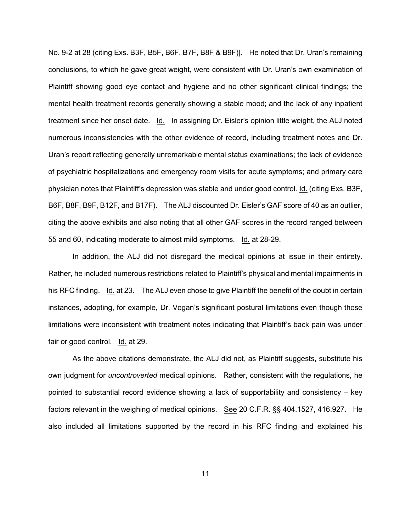No. 9-2 at 28 (citing Exs. B3F, B5F, B6F, B7F, B8F & B9F)]. He noted that Dr. Uran's remaining conclusions, to which he gave great weight, were consistent with Dr. Uran's own examination of Plaintiff showing good eye contact and hygiene and no other significant clinical findings; the mental health treatment records generally showing a stable mood; and the lack of any inpatient treatment since her onset date. Id. In assigning Dr. Eisler's opinion little weight, the ALJ noted numerous inconsistencies with the other evidence of record, including treatment notes and Dr. Uran's report reflecting generally unremarkable mental status examinations; the lack of evidence of psychiatric hospitalizations and emergency room visits for acute symptoms; and primary care physician notes that Plaintiff's depression was stable and under good control. Id. (citing Exs. B3F, B6F, B8F, B9F, B12F, and B17F). The ALJ discounted Dr. Eisler's GAF score of 40 as an outlier, citing the above exhibits and also noting that all other GAF scores in the record ranged between 55 and 60, indicating moderate to almost mild symptoms. Id. at 28-29.

In addition, the ALJ did not disregard the medical opinions at issue in their entirety. Rather, he included numerous restrictions related to Plaintiff's physical and mental impairments in his RFC finding. Id. at 23. The ALJ even chose to give Plaintiff the benefit of the doubt in certain instances, adopting, for example, Dr. Vogan's significant postural limitations even though those limitations were inconsistent with treatment notes indicating that Plaintiff's back pain was under fair or good control. Id. at 29.

As the above citations demonstrate, the ALJ did not, as Plaintiff suggests, substitute his own judgment for *uncontroverted* medical opinions. Rather, consistent with the regulations, he pointed to substantial record evidence showing a lack of supportability and consistency – key factors relevant in the weighing of medical opinions. See 20 C.F.R. §§ 404.1527, 416.927. He also included all limitations supported by the record in his RFC finding and explained his

11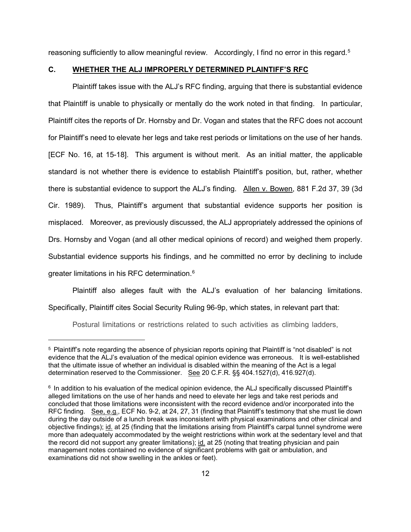reasoning sufficiently to allow meaningful review. Accordingly, I find no error in this regard.<sup>[5](#page-11-0)</sup>

#### **C. WHETHER THE ALJ IMPROPERLY DETERMINED PLAINTIFF'S RFC**

Plaintiff takes issue with the ALJ's RFC finding, arguing that there is substantial evidence that Plaintiff is unable to physically or mentally do the work noted in that finding. In particular, Plaintiff cites the reports of Dr. Hornsby and Dr. Vogan and states that the RFC does not account for Plaintiff's need to elevate her legs and take rest periods or limitations on the use of her hands. [ECF No. 16, at 15-18]. This argument is without merit. As an initial matter, the applicable standard is not whether there is evidence to establish Plaintiff's position, but, rather, whether there is substantial evidence to support the ALJ's finding. Allen v. Bowen, 881 F.2d 37, 39 (3d Cir. 1989). Thus, Plaintiff's argument that substantial evidence supports her position is misplaced. Moreover, as previously discussed, the ALJ appropriately addressed the opinions of Drs. Hornsby and Vogan (and all other medical opinions of record) and weighed them properly. Substantial evidence supports his findings, and he committed no error by declining to include greater limitations in his RFC determination. [6](#page-11-1)

Plaintiff also alleges fault with the ALJ's evaluation of her balancing limitations. Specifically, Plaintiff cites Social Security Ruling 96-9p, which states, in relevant part that:

Postural limitations or restrictions related to such activities as climbing ladders,

l

<span id="page-11-0"></span><sup>5</sup> Plaintiff's note regarding the absence of physician reports opining that Plaintiff is "not disabled" is not evidence that the ALJ's evaluation of the medical opinion evidence was erroneous. It is well-established that the ultimate issue of whether an individual is disabled within the meaning of the Act is a legal determination reserved to the Commissioner. See 20 C.F.R. §§ 404.1527(d), 416.927(d).

<span id="page-11-1"></span><sup>6</sup> In addition to his evaluation of the medical opinion evidence, the ALJ specifically discussed Plaintiff's alleged limitations on the use of her hands and need to elevate her legs and take rest periods and concluded that those limitations were inconsistent with the record evidence and/or incorporated into the RFC finding. See, e.g., ECF No. 9-2, at 24, 27, 31 (finding that Plaintiff's testimony that she must lie down during the day outside of a lunch break was inconsistent with physical examinations and other clinical and objective findings); id. at 25 (finding that the limitations arising from Plaintiff's carpal tunnel syndrome were more than adequately accommodated by the weight restrictions within work at the sedentary level and that the record did not support any greater limitations); id. at 25 (noting that treating physician and pain management notes contained no evidence of significant problems with gait or ambulation, and examinations did not show swelling in the ankles or feet).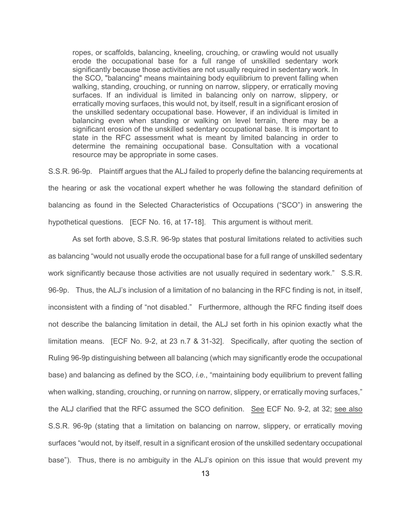ropes, or scaffolds, balancing, kneeling, crouching, or crawling would not usually erode the occupational base for a full range of unskilled sedentary work significantly because those activities are not usually required in sedentary work. In the SCO, "balancing" means maintaining body equilibrium to prevent falling when walking, standing, crouching, or running on narrow, slippery, or erratically moving surfaces. If an individual is limited in balancing only on narrow, slippery, or erratically moving surfaces, this would not, by itself, result in a significant erosion of the unskilled sedentary occupational base. However, if an individual is limited in balancing even when standing or walking on level terrain, there may be a significant erosion of the unskilled sedentary occupational base. It is important to state in the RFC assessment what is meant by limited balancing in order to determine the remaining occupational base. Consultation with a vocational resource may be appropriate in some cases.

S.S.R. 96-9p. Plaintiff argues that the ALJ failed to properly define the balancing requirements at the hearing or ask the vocational expert whether he was following the standard definition of balancing as found in the Selected Characteristics of Occupations ("SCO") in answering the hypothetical questions. [ECF No. 16, at 17-18]. This argument is without merit.

As set forth above, S.S.R. 96-9p states that postural limitations related to activities such as balancing "would not usually erode the occupational base for a full range of unskilled sedentary work significantly because those activities are not usually required in sedentary work." S.S.R. 96-9p. Thus, the ALJ's inclusion of a limitation of no balancing in the RFC finding is not, in itself, inconsistent with a finding of "not disabled." Furthermore, although the RFC finding itself does not describe the balancing limitation in detail, the ALJ set forth in his opinion exactly what the limitation means. [ECF No. 9-2, at 23 n.7 & 31-32]. Specifically, after quoting the section of Ruling 96-9p distinguishing between all balancing (which may significantly erode the occupational base) and balancing as defined by the SCO, *i.e.*, "maintaining body equilibrium to prevent falling when walking, standing, crouching, or running on narrow, slippery, or erratically moving surfaces," the ALJ clarified that the RFC assumed the SCO definition. See ECF No. 9-2, at 32; see also S.S.R. 96-9p (stating that a limitation on balancing on narrow, slippery, or erratically moving surfaces "would not, by itself, result in a significant erosion of the unskilled sedentary occupational base"). Thus, there is no ambiguity in the ALJ's opinion on this issue that would prevent my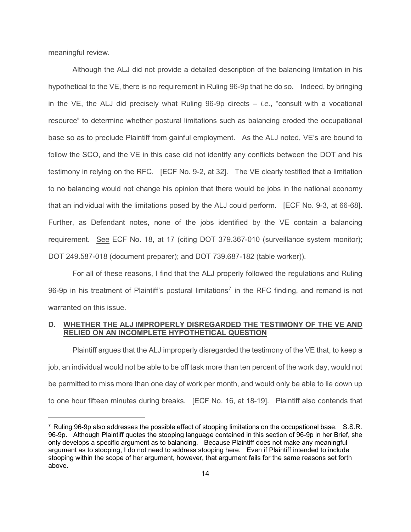meaningful review.

l

Although the ALJ did not provide a detailed description of the balancing limitation in his hypothetical to the VE, there is no requirement in Ruling 96-9p that he do so. Indeed, by bringing in the VE, the ALJ did precisely what Ruling 96-9p directs – *i.e.*, "consult with a vocational resource" to determine whether postural limitations such as balancing eroded the occupational base so as to preclude Plaintiff from gainful employment. As the ALJ noted, VE's are bound to follow the SCO, and the VE in this case did not identify any conflicts between the DOT and his testimony in relying on the RFC. [ECF No. 9-2, at 32]. The VE clearly testified that a limitation to no balancing would not change his opinion that there would be jobs in the national economy that an individual with the limitations posed by the ALJ could perform. [ECF No. 9-3, at 66-68]. Further, as Defendant notes, none of the jobs identified by the VE contain a balancing requirement. See ECF No. 18, at 17 (citing DOT 379.367-010 (surveillance system monitor); DOT 249.587-018 (document preparer); and DOT 739.687-182 (table worker)).

For all of these reasons, I find that the ALJ properly followed the regulations and Ruling 96-9p in his treatment of Plaintiff's postural limitations<sup>[7](#page-13-0)</sup> in the RFC finding, and remand is not warranted on this issue.

## **D. WHETHER THE ALJ IMPROPERLY DISREGARDED THE TESTIMONY OF THE VE AND RELIED ON AN INCOMPLETE HYPOTHETICAL QUESTION**

Plaintiff argues that the ALJ improperly disregarded the testimony of the VE that, to keep a job, an individual would not be able to be off task more than ten percent of the work day, would not be permitted to miss more than one day of work per month, and would only be able to lie down up to one hour fifteen minutes during breaks. [ECF No. 16, at 18-19]. Plaintiff also contends that

<span id="page-13-0"></span><sup>7</sup> Ruling 96-9p also addresses the possible effect of stooping limitations on the occupational base. S.S.R. 96-9p. Although Plaintiff quotes the stooping language contained in this section of 96-9p in her Brief, she only develops a specific argument as to balancing. Because Plaintiff does not make any meaningful argument as to stooping, I do not need to address stooping here. Even if Plaintiff intended to include stooping within the scope of her argument, however, that argument fails for the same reasons set forth above.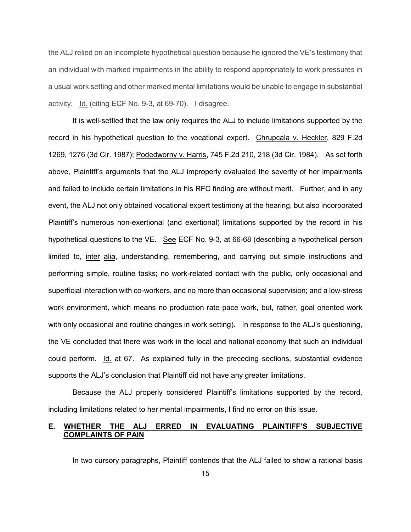the ALJ relied on an incomplete hypothetical question because he ignored the VE's testimony that an individual with marked impairments in the ability to respond appropriately to work pressures in a usual work setting and other marked mental limitations would be unable to engage in substantial activity. Id. (citing ECF No. 9-3, at 69-70). I disagree.

It is well-settled that the law only requires the ALJ to include limitations supported by the record in his hypothetical question to the vocational expert. Chrupcala v. Heckler, 829 F.2d 1269, 1276 (3d Cir. 1987); Podedworny v. Harris, 745 F.2d 210, 218 (3d Cir. 1984). As set forth above, Plaintiff's arguments that the ALJ improperly evaluated the severity of her impairments and failed to include certain limitations in his RFC finding are without merit. Further, and in any event, the ALJ not only obtained vocational expert testimony at the hearing, but also incorporated Plaintiff's numerous non-exertional (and exertional) limitations supported by the record in his hypothetical questions to the VE. See ECF No. 9-3, at 66-68 (describing a hypothetical person limited to, inter alia, understanding, remembering, and carrying out simple instructions and performing simple, routine tasks; no work-related contact with the public, only occasional and superficial interaction with co-workers, and no more than occasional supervision; and a low-stress work environment, which means no production rate pace work, but, rather, goal oriented work with only occasional and routine changes in work setting). In response to the ALJ's questioning, the VE concluded that there was work in the local and national economy that such an individual could perform. Id. at 67. As explained fully in the preceding sections, substantial evidence supports the ALJ's conclusion that Plaintiff did not have any greater limitations.

 Because the ALJ properly considered Plaintiff's limitations supported by the record, including limitations related to her mental impairments, I find no error on this issue.

# **E. WHETHER THE ALJ ERRED IN EVALUATING PLAINTIFF'S SUBJECTIVE COMPLAINTS OF PAIN**

In two cursory paragraphs, Plaintiff contends that the ALJ failed to show a rational basis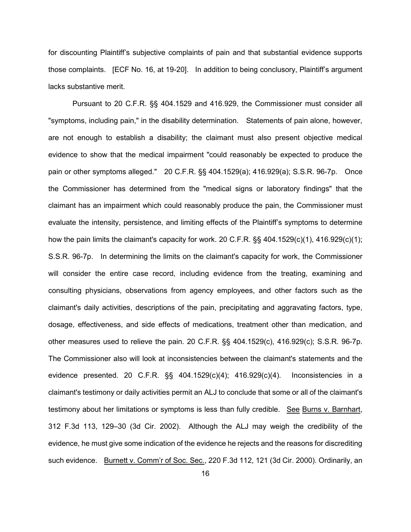for discounting Plaintiff's subjective complaints of pain and that substantial evidence supports those complaints. [ECF No. 16, at 19-20]. In addition to being conclusory, Plaintiff's argument lacks substantive merit.

Pursuant to 20 C.F.R. §§ 404.1529 and 416.929, the Commissioner must consider all "symptoms, including pain," in the disability determination. Statements of pain alone, however, are not enough to establish a disability; the claimant must also present objective medical evidence to show that the medical impairment "could reasonably be expected to produce the pain or other symptoms alleged." 20 C.F.R. §§ 404.1529(a); 416.929(a); S.S.R. 96-7p. Once the Commissioner has determined from the "medical signs or laboratory findings" that the claimant has an impairment which could reasonably produce the pain, the Commissioner must evaluate the intensity, persistence, and limiting effects of the Plaintiff's symptoms to determine how the pain limits the claimant's capacity for work. 20 C.F.R. §§ 404.1529(c)(1), 416.929(c)(1); S.S.R. 96-7p. In determining the limits on the claimant's capacity for work, the Commissioner will consider the entire case record, including evidence from the treating, examining and consulting physicians, observations from agency employees, and other factors such as the claimant's daily activities, descriptions of the pain, precipitating and aggravating factors, type, dosage, effectiveness, and side effects of medications, treatment other than medication, and other measures used to relieve the pain. 20 C.F.R. §§ 404.1529(c), 416.929(c); S.S.R. 96-7p. The Commissioner also will look at inconsistencies between the claimant's statements and the evidence presented. 20 C.F.R. §§ 404.1529(c)(4); 416.929(c)(4). Inconsistencies in a claimant's testimony or daily activities permit an ALJ to conclude that some or all of the claimant's testimony about her limitations or symptoms is less than fully credible. See [Burns v. Barnhart,](https://web2.westlaw.com/find/default.wl?mt=Westlaw&db=506&tc=-1&rp=%2ffind%2fdefault.wl&findtype=Y&ordoc=2015811732&serialnum=2002760236&vr=2.0&fn=_top&sv=Split&tf=-1&referencepositiontype=S&pbc=F0891C95&referenceposition=129&rs=WLW14.04)  [312 F.3d 113, 129–30 \(3d Cir. 2002\).](https://web2.westlaw.com/find/default.wl?mt=Westlaw&db=506&tc=-1&rp=%2ffind%2fdefault.wl&findtype=Y&ordoc=2015811732&serialnum=2002760236&vr=2.0&fn=_top&sv=Split&tf=-1&referencepositiontype=S&pbc=F0891C95&referenceposition=129&rs=WLW14.04) Although the ALJ may weigh the credibility of the evidence, he must give some indication of the evidence he rejects and the reasons for discrediting such evidence. Burnett v. Comm'r of Soc. Sec., 220 F.3d 112, 121 (3d Cir. 2000). Ordinarily, an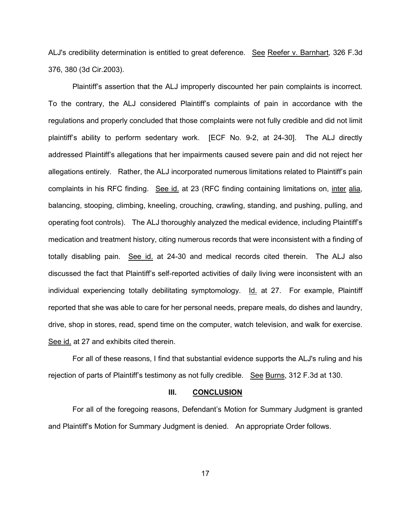ALJ's credibility determination is entitled to great deference. See Reefer v. Barnhart*,* 326 F.3d 376, 380 (3d Cir.2003).

Plaintiff's assertion that the ALJ improperly discounted her pain complaints is incorrect. To the contrary, the ALJ considered Plaintiff's complaints of pain in accordance with the regulations and properly concluded that those complaints were not fully credible and did not limit plaintiff's ability to perform sedentary work. [ECF No. 9-2, at 24-30]. The ALJ directly addressed Plaintiff's allegations that her impairments caused severe pain and did not reject her allegations entirely. Rather, the ALJ incorporated numerous limitations related to Plaintiff's pain complaints in his RFC finding. See id. at 23 (RFC finding containing limitations on, inter alia, balancing, stooping, climbing, kneeling, crouching, crawling, standing, and pushing, pulling, and operating foot controls). The ALJ thoroughly analyzed the medical evidence, including Plaintiff's medication and treatment history, citing numerous records that were inconsistent with a finding of totally disabling pain. See id. at 24-30 and medical records cited therein. The ALJ also discussed the fact that Plaintiff's self-reported activities of daily living were inconsistent with an individual experiencing totally debilitating symptomology. Id. at 27. For example, Plaintiff reported that she was able to care for her personal needs, prepare meals, do dishes and laundry, drive, shop in stores, read, spend time on the computer, watch television, and walk for exercise. See id. at 27 and exhibits cited therein.

For all of these reasons, I find that substantial evidence supports the ALJ's ruling and his rejection of parts of Plaintiff's testimony as not fully credible. See Burns, 312 F.3d at 130.

### **III. CONCLUSION**

For all of the foregoing reasons, Defendant's Motion for Summary Judgment is granted and Plaintiff's Motion for Summary Judgment is denied. An appropriate Order follows.

17